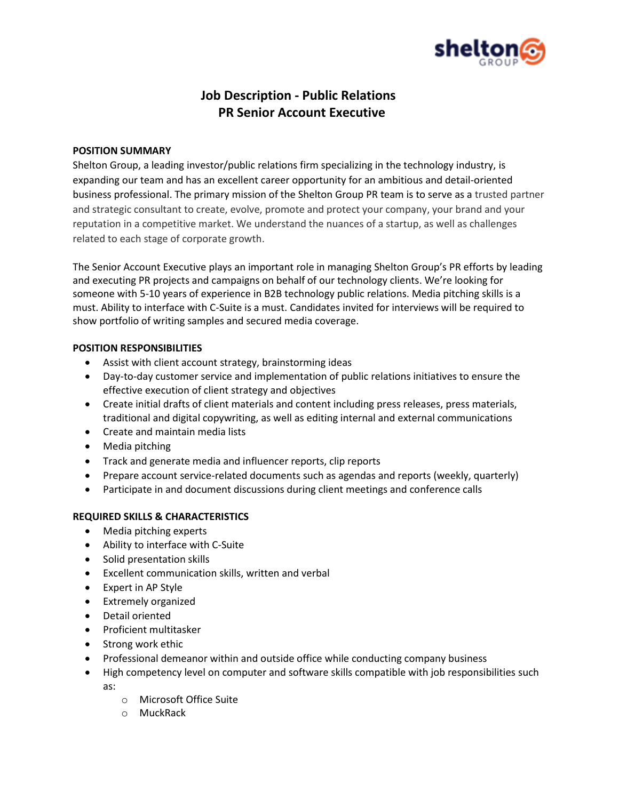

# **Job Description - Public Relations PR Senior Account Executive**

## **POSITION SUMMARY**

Shelton Group, a leading investor/public relations firm specializing in the technology industry, is expanding our team and has an excellent career opportunity for an ambitious and detail-oriented business professional. The primary mission of the Shelton Group PR team is to serve as a trusted partner and strategic consultant to create, evolve, promote and protect your company, your brand and your reputation in a competitive market. We understand the nuances of a startup, as well as challenges related to each stage of corporate growth.

The Senior Account Executive plays an important role in managing Shelton Group's PR efforts by leading and executing PR projects and campaigns on behalf of our technology clients. We're looking for someone with 5-10 years of experience in B2B technology public relations. Media pitching skills is a must. Ability to interface with C-Suite is a must. Candidates invited for interviews will be required to show portfolio of writing samples and secured media coverage.

## **POSITION RESPONSIBILITIES**

- Assist with client account strategy, brainstorming ideas
- Day-to-day customer service and implementation of public relations initiatives to ensure the effective execution of client strategy and objectives
- Create initial drafts of client materials and content including press releases, press materials, traditional and digital copywriting, as well as editing internal and external communications
- Create and maintain media lists
- Media pitching
- Track and generate media and influencer reports, clip reports
- Prepare account service-related documents such as agendas and reports (weekly, quarterly)
- Participate in and document discussions during client meetings and conference calls

# **REQUIRED SKILLS & CHARACTERISTICS**

- Media pitching experts
- Ability to interface with C-Suite
- Solid presentation skills
- Excellent communication skills, written and verbal
- Expert in AP Style
- Extremely organized
- Detail oriented
- Proficient multitasker
- Strong work ethic
- Professional demeanor within and outside office while conducting company business
- High competency level on computer and software skills compatible with job responsibilities such as:
	- o Microsoft Office Suite
	- o MuckRack